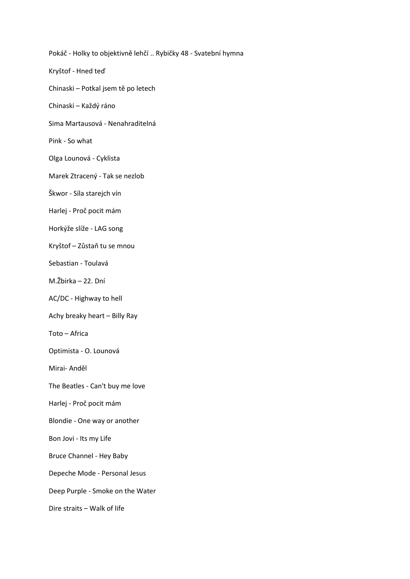Pokáč - Holky to objektivně lehčí .. Rybičky 48 - Svatební hymna Kryštof - Hned teď Chinaski – Potkal jsem tě po letech Chinaski – Každý ráno Sima Martausová - Nenahraditelná Pink - So what Olga Lounová - Cyklista Marek Ztracený - Tak se nezlob Škwor - Síla starejch vín Harlej - Proč pocit mám Horkýže slíže - LAG song Kryštof – Zůstaň tu se mnou Sebastian - Toulavá M.Žbirka – 22. Dní AC/DC - Highway to hell Achy breaky heart – Billy Ray Toto – Africa Optimista - O. Lounová Mirai- Anděl The Beatles - Can't buy me love Harlej - Proč pocit mám Blondie - One way or another Bon Jovi - Its my Life Bruce Channel - Hey Baby Depeche Mode - Personal Jesus Deep Purple - Smoke on the Water Dire straits – Walk of life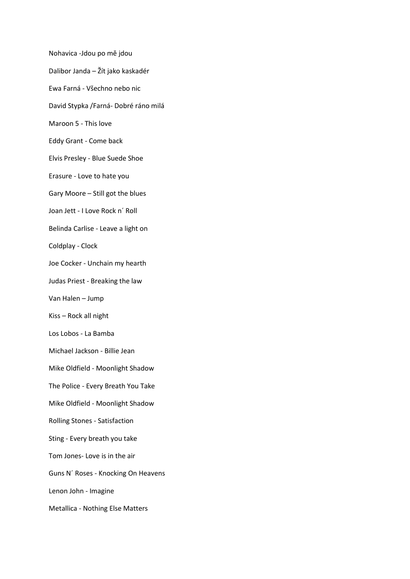Nohavica -Jdou po mě jdou Dalibor Janda – Žít jako kaskadér Ewa Farná - Všechno nebo nic David Stypka /Farná- Dobré ráno milá Maroon 5 - This love Eddy Grant - Come back Elvis Presley - Blue Suede Shoe Erasure - Love to hate you Gary Moore – Still got the blues Joan Jett - I Love Rock n´ Roll Belinda Carlise - Leave a light on Coldplay - Clock Joe Cocker - Unchain my hearth Judas Priest - Breaking the law Van Halen – Jump Kiss – Rock all night Los Lobos - La Bamba Michael Jackson - Billie Jean Mike Oldfield - Moonlight Shadow The Police - Every Breath You Take Mike Oldfield - Moonlight Shadow Rolling Stones - Satisfaction Sting - Every breath you take Tom Jones- Love is in the air Guns N´ Roses - Knocking On Heavens Lenon John - Imagine Metallica - Nothing Else Matters